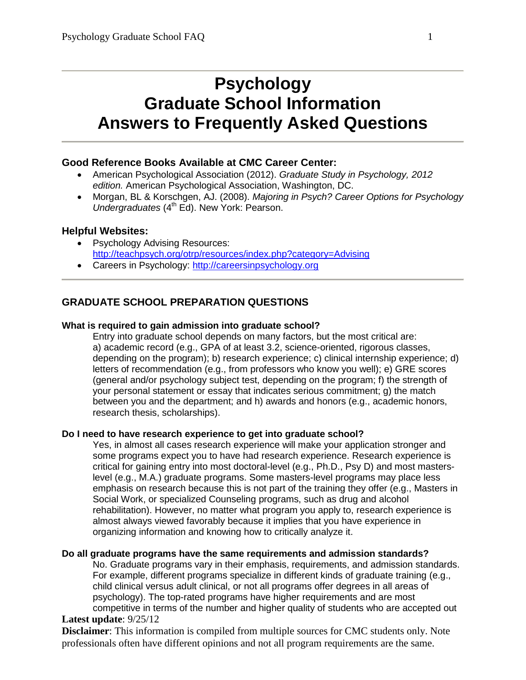# **Psychology Graduate School Information Answers to Frequently Asked Questions**

# **Good Reference Books Available at CMC Career Center:**

- American Psychological Association (2012). *Graduate Study in Psychology, 2012 edition.* American Psychological Association, Washington, DC.
- Morgan, BL & Korschgen, AJ. (2008). *Majoring in Psych? Career Options for Psychology Undergraduates* (4<sup>th</sup> Ed). New York: Pearson.

# **Helpful Websites:**

- Psychology Advising Resources: <http://teachpsych.org/otrp/resources/index.php?category=Advising>
- Careers in Psychology: [http://careersinpsychology.org](http://careersinpsychology.org/)

# **GRADUATE SCHOOL PREPARATION QUESTIONS**

## **What is required to gain admission into graduate school?**

Entry into graduate school depends on many factors, but the most critical are: a) academic record (e.g., GPA of at least 3.2, science-oriented, rigorous classes, depending on the program); b) research experience; c) clinical internship experience; d) letters of recommendation (e.g., from professors who know you well); e) GRE scores (general and/or psychology subject test, depending on the program; f) the strength of your personal statement or essay that indicates serious commitment; g) the match between you and the department; and h) awards and honors (e.g., academic honors, research thesis, scholarships).

#### **Do I need to have research experience to get into graduate school?**

Yes, in almost all cases research experience will make your application stronger and some programs expect you to have had research experience. Research experience is critical for gaining entry into most doctoral-level (e.g., Ph.D., Psy D) and most masterslevel (e.g., M.A.) graduate programs. Some masters-level programs may place less emphasis on research because this is not part of the training they offer (e.g., Masters in Social Work, or specialized Counseling programs, such as drug and alcohol rehabilitation). However, no matter what program you apply to, research experience is almost always viewed favorably because it implies that you have experience in organizing information and knowing how to critically analyze it.

#### **Do all graduate programs have the same requirements and admission standards?**

No. Graduate programs vary in their emphasis, requirements, and admission standards. For example, different programs specialize in different kinds of graduate training (e.g., child clinical versus adult clinical, or not all programs offer degrees in all areas of psychology). The top-rated programs have higher requirements and are most competitive in terms of the number and higher quality of students who are accepted out

## **Latest update**: 9/25/12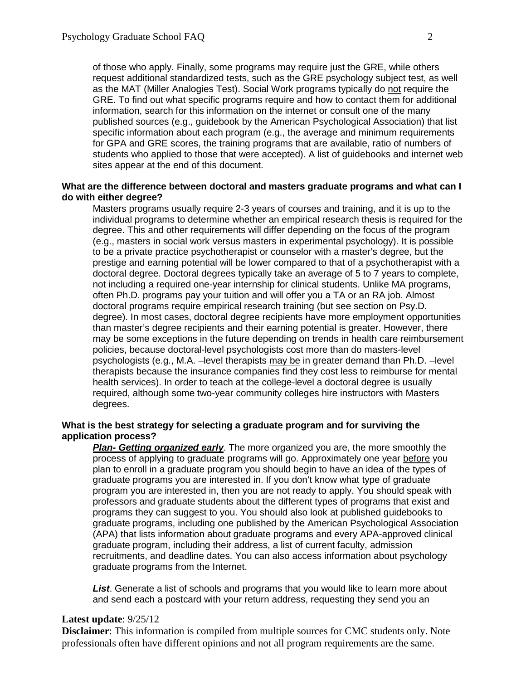of those who apply. Finally, some programs may require just the GRE, while others request additional standardized tests, such as the GRE psychology subject test, as well as the MAT (Miller Analogies Test). Social Work programs typically do not require the GRE. To find out what specific programs require and how to contact them for additional information, search for this information on the internet or consult one of the many published sources (e.g., guidebook by the American Psychological Association) that list specific information about each program (e.g., the average and minimum requirements for GPA and GRE scores, the training programs that are available, ratio of numbers of students who applied to those that were accepted). A list of guidebooks and internet web sites appear at the end of this document.

#### **What are the difference between doctoral and masters graduate programs and what can I do with either degree?**

Masters programs usually require 2-3 years of courses and training, and it is up to the individual programs to determine whether an empirical research thesis is required for the degree. This and other requirements will differ depending on the focus of the program (e.g., masters in social work versus masters in experimental psychology). It is possible to be a private practice psychotherapist or counselor with a master's degree, but the prestige and earning potential will be lower compared to that of a psychotherapist with a doctoral degree. Doctoral degrees typically take an average of 5 to 7 years to complete, not including a required one-year internship for clinical students. Unlike MA programs, often Ph.D. programs pay your tuition and will offer you a TA or an RA job. Almost doctoral programs require empirical research training (but see section on Psy.D. degree). In most cases, doctoral degree recipients have more employment opportunities than master's degree recipients and their earning potential is greater. However, there may be some exceptions in the future depending on trends in health care reimbursement policies, because doctoral-level psychologists cost more than do masters-level psychologists (e.g., M.A. –level therapists may be in greater demand than Ph.D. –level therapists because the insurance companies find they cost less to reimburse for mental health services). In order to teach at the college-level a doctoral degree is usually required, although some two-year community colleges hire instructors with Masters degrees.

#### **What is the best strategy for selecting a graduate program and for surviving the application process?**

*Plan- Getting organized early*. The more organized you are, the more smoothly the process of applying to graduate programs will go. Approximately one year before you plan to enroll in a graduate program you should begin to have an idea of the types of graduate programs you are interested in. If you don't know what type of graduate program you are interested in, then you are not ready to apply. You should speak with professors and graduate students about the different types of programs that exist and programs they can suggest to you. You should also look at published guidebooks to graduate programs, including one published by the American Psychological Association (APA) that lists information about graduate programs and every APA-approved clinical graduate program, including their address, a list of current faculty, admission recruitments, and deadline dates. You can also access information about psychology graduate programs from the Internet.

*List*. Generate a list of schools and programs that you would like to learn more about and send each a postcard with your return address, requesting they send you an

#### **Latest update**: 9/25/12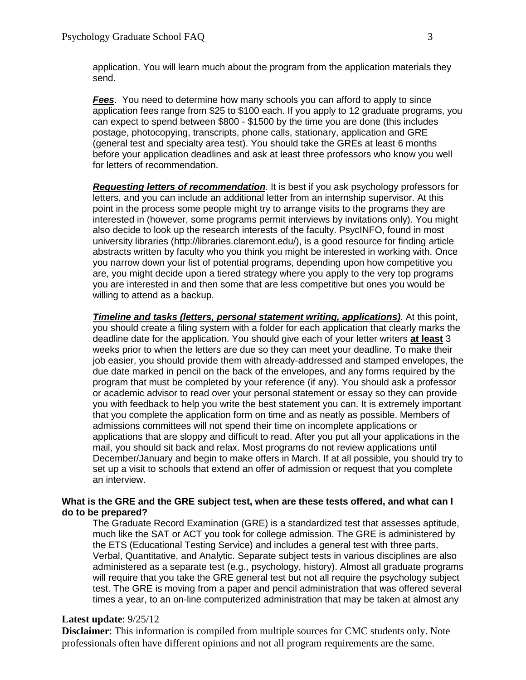application. You will learn much about the program from the application materials they send.

*Fees*. You need to determine how many schools you can afford to apply to since application fees range from \$25 to \$100 each. If you apply to 12 graduate programs, you can expect to spend between \$800 - \$1500 by the time you are done (this includes postage, photocopying, transcripts, phone calls, stationary, application and GRE (general test and specialty area test). You should take the GREs at least 6 months before your application deadlines and ask at least three professors who know you well for letters of recommendation.

*Requesting letters of recommendation*. It is best if you ask psychology professors for letters, and you can include an additional letter from an internship supervisor. At this point in the process some people might try to arrange visits to the programs they are interested in (however, some programs permit interviews by invitations only). You might also decide to look up the research interests of the faculty. PsycINFO, found in most university libraries (http://libraries.claremont.edu/), is a good resource for finding article abstracts written by faculty who you think you might be interested in working with. Once you narrow down your list of potential programs, depending upon how competitive you are, you might decide upon a tiered strategy where you apply to the very top programs you are interested in and then some that are less competitive but ones you would be willing to attend as a backup.

*Timeline and tasks (letters, personal statement writing, applications)*. At this point, you should create a filing system with a folder for each application that clearly marks the deadline date for the application. You should give each of your letter writers **at least** 3 weeks prior to when the letters are due so they can meet your deadline. To make their job easier, you should provide them with already-addressed and stamped envelopes, the due date marked in pencil on the back of the envelopes, and any forms required by the program that must be completed by your reference (if any). You should ask a professor or academic advisor to read over your personal statement or essay so they can provide you with feedback to help you write the best statement you can. It is extremely important that you complete the application form on time and as neatly as possible. Members of admissions committees will not spend their time on incomplete applications or applications that are sloppy and difficult to read. After you put all your applications in the mail, you should sit back and relax. Most programs do not review applications until December/January and begin to make offers in March. If at all possible, you should try to set up a visit to schools that extend an offer of admission or request that you complete an interview.

#### **What is the GRE and the GRE subject test, when are these tests offered, and what can I do to be prepared?**

The Graduate Record Examination (GRE) is a standardized test that assesses aptitude, much like the SAT or ACT you took for college admission. The GRE is administered by the ETS (Educational Testing Service) and includes a general test with three parts, Verbal, Quantitative, and Analytic. Separate subject tests in various disciplines are also administered as a separate test (e.g., psychology, history). Almost all graduate programs will require that you take the GRE general test but not all require the psychology subject test. The GRE is moving from a paper and pencil administration that was offered several times a year, to an on-line computerized administration that may be taken at almost any

#### **Latest update**: 9/25/12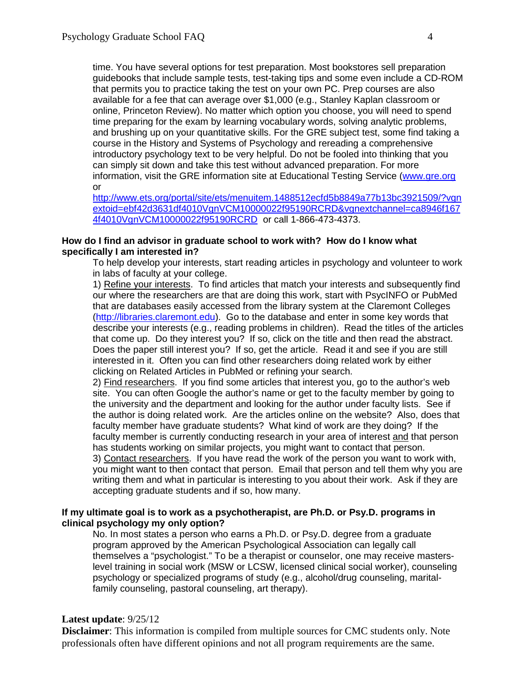time. You have several options for test preparation. Most bookstores sell preparation guidebooks that include sample tests, test-taking tips and some even include a CD-ROM that permits you to practice taking the test on your own PC. Prep courses are also available for a fee that can average over \$1,000 (e.g., Stanley Kaplan classroom or online, Princeton Review). No matter which option you choose, you will need to spend time preparing for the exam by learning vocabulary words, solving analytic problems, and brushing up on your quantitative skills. For the GRE subject test, some find taking a course in the History and Systems of Psychology and rereading a comprehensive introductory psychology text to be very helpful. Do not be fooled into thinking that you can simply sit down and take this test without advanced preparation. For more information, visit the GRE information site at Educational Testing Service [\(www.gre.org](http://www.gre.org/) or

[http://www.ets.org/portal/site/ets/menuitem.1488512ecfd5b8849a77b13bc3921509/?vgn](http://www.ets.org/portal/site/ets/menuitem.1488512ecfd5b8849a77b13bc3921509/?vgnextoid=ebf42d3631df4010VgnVCM10000022f95190RCRD&vgnextchannel=ca8946f1674f4010VgnVCM10000022f95190RCRD) [extoid=ebf42d3631df4010VgnVCM10000022f95190RCRD&vgnextchannel=ca8946f167](http://www.ets.org/portal/site/ets/menuitem.1488512ecfd5b8849a77b13bc3921509/?vgnextoid=ebf42d3631df4010VgnVCM10000022f95190RCRD&vgnextchannel=ca8946f1674f4010VgnVCM10000022f95190RCRD) [4f4010VgnVCM10000022f95190RCRD](http://www.ets.org/portal/site/ets/menuitem.1488512ecfd5b8849a77b13bc3921509/?vgnextoid=ebf42d3631df4010VgnVCM10000022f95190RCRD&vgnextchannel=ca8946f1674f4010VgnVCM10000022f95190RCRD) or call 1-866-473-4373.

## **How do I find an advisor in graduate school to work with? How do I know what specifically I am interested in?**

To help develop your interests, start reading articles in psychology and volunteer to work in labs of faculty at your college.

1) Refine your interests. To find articles that match your interests and subsequently find our where the researchers are that are doing this work, start with PsycINFO or PubMed that are databases easily accessed from the library system at the Claremont Colleges [\(http://libraries.claremont.edu\)](http://libraries.claremont.edu/). Go to the database and enter in some key words that describe your interests (e.g., reading problems in children). Read the titles of the articles that come up. Do they interest you? If so, click on the title and then read the abstract. Does the paper still interest you? If so, get the article. Read it and see if you are still interested in it. Often you can find other researchers doing related work by either clicking on Related Articles in PubMed or refining your search.

2) Find researchers. If you find some articles that interest you, go to the author's web site. You can often Google the author's name or get to the faculty member by going to the university and the department and looking for the author under faculty lists. See if the author is doing related work. Are the articles online on the website? Also, does that faculty member have graduate students? What kind of work are they doing? If the faculty member is currently conducting research in your area of interest and that person has students working on similar projects, you might want to contact that person.

3) Contact researchers. If you have read the work of the person you want to work with, you might want to then contact that person. Email that person and tell them why you are writing them and what in particular is interesting to you about their work. Ask if they are accepting graduate students and if so, how many.

## **If my ultimate goal is to work as a psychotherapist, are Ph.D. or Psy.D. programs in clinical psychology my only option?**

No. In most states a person who earns a Ph.D. or Psy.D. degree from a graduate program approved by the American Psychological Association can legally call themselves a "psychologist." To be a therapist or counselor, one may receive masterslevel training in social work (MSW or LCSW, licensed clinical social worker), counseling psychology or specialized programs of study (e.g., alcohol/drug counseling, maritalfamily counseling, pastoral counseling, art therapy).

## **Latest update**: 9/25/12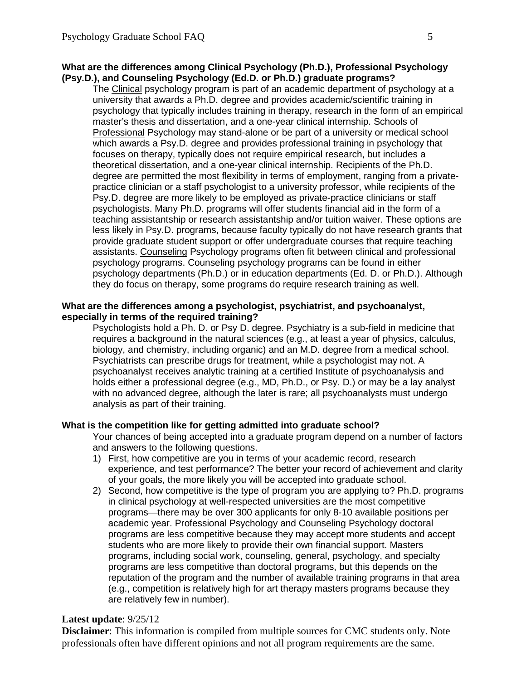## **What are the differences among Clinical Psychology (Ph.D.), Professional Psychology (Psy.D.), and Counseling Psychology (Ed.D. or Ph.D.) graduate programs?**

The Clinical psychology program is part of an academic department of psychology at a university that awards a Ph.D. degree and provides academic/scientific training in psychology that typically includes training in therapy, research in the form of an empirical master's thesis and dissertation, and a one-year clinical internship. Schools of Professional Psychology may stand-alone or be part of a university or medical school which awards a Psy.D. degree and provides professional training in psychology that focuses on therapy, typically does not require empirical research, but includes a theoretical dissertation, and a one-year clinical internship. Recipients of the Ph.D. degree are permitted the most flexibility in terms of employment, ranging from a privatepractice clinician or a staff psychologist to a university professor, while recipients of the Psy.D. degree are more likely to be employed as private-practice clinicians or staff psychologists. Many Ph.D. programs will offer students financial aid in the form of a teaching assistantship or research assistantship and/or tuition waiver. These options are less likely in Psy.D. programs, because faculty typically do not have research grants that provide graduate student support or offer undergraduate courses that require teaching assistants. Counseling Psychology programs often fit between clinical and professional psychology programs. Counseling psychology programs can be found in either psychology departments (Ph.D.) or in education departments (Ed. D. or Ph.D.). Although they do focus on therapy, some programs do require research training as well.

## **What are the differences among a psychologist, psychiatrist, and psychoanalyst, especially in terms of the required training?**

Psychologists hold a Ph. D. or Psy D. degree. Psychiatry is a sub-field in medicine that requires a background in the natural sciences (e.g., at least a year of physics, calculus, biology, and chemistry, including organic) and an M.D. degree from a medical school. Psychiatrists can prescribe drugs for treatment, while a psychologist may not. A psychoanalyst receives analytic training at a certified Institute of psychoanalysis and holds either a professional degree (e.g., MD, Ph.D., or Psy. D.) or may be a lay analyst with no advanced degree, although the later is rare; all psychoanalysts must undergo analysis as part of their training.

# **What is the competition like for getting admitted into graduate school?**

Your chances of being accepted into a graduate program depend on a number of factors and answers to the following questions.

- 1) First, how competitive are you in terms of your academic record, research experience, and test performance? The better your record of achievement and clarity of your goals, the more likely you will be accepted into graduate school.
- 2) Second, how competitive is the type of program you are applying to? Ph.D. programs in clinical psychology at well-respected universities are the most competitive programs—there may be over 300 applicants for only 8-10 available positions per academic year. Professional Psychology and Counseling Psychology doctoral programs are less competitive because they may accept more students and accept students who are more likely to provide their own financial support. Masters programs, including social work, counseling, general, psychology, and specialty programs are less competitive than doctoral programs, but this depends on the reputation of the program and the number of available training programs in that area (e.g., competition is relatively high for art therapy masters programs because they are relatively few in number).

# **Latest update**: 9/25/12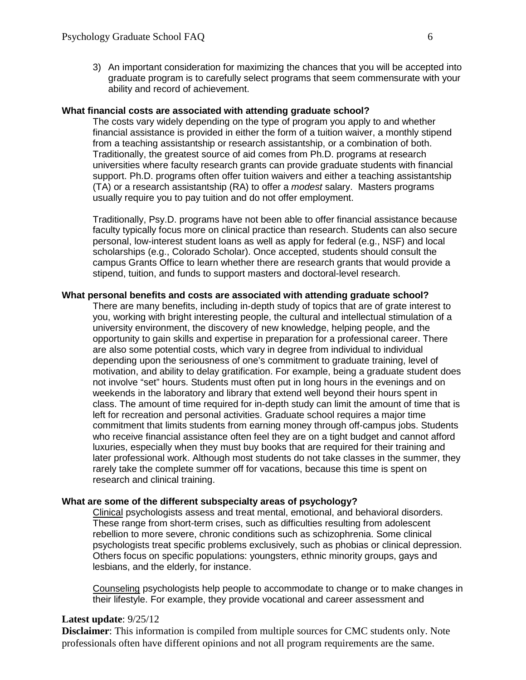3) An important consideration for maximizing the chances that you will be accepted into graduate program is to carefully select programs that seem commensurate with your ability and record of achievement.

#### **What financial costs are associated with attending graduate school?**

The costs vary widely depending on the type of program you apply to and whether financial assistance is provided in either the form of a tuition waiver, a monthly stipend from a teaching assistantship or research assistantship, or a combination of both. Traditionally, the greatest source of aid comes from Ph.D. programs at research universities where faculty research grants can provide graduate students with financial support. Ph.D. programs often offer tuition waivers and either a teaching assistantship (TA) or a research assistantship (RA) to offer a *modest* salary. Masters programs usually require you to pay tuition and do not offer employment.

Traditionally, Psy.D. programs have not been able to offer financial assistance because faculty typically focus more on clinical practice than research. Students can also secure personal, low-interest student loans as well as apply for federal (e.g., NSF) and local scholarships (e.g., Colorado Scholar). Once accepted, students should consult the campus Grants Office to learn whether there are research grants that would provide a stipend, tuition, and funds to support masters and doctoral-level research.

#### **What personal benefits and costs are associated with attending graduate school?**

There are many benefits, including in-depth study of topics that are of grate interest to you, working with bright interesting people, the cultural and intellectual stimulation of a university environment, the discovery of new knowledge, helping people, and the opportunity to gain skills and expertise in preparation for a professional career. There are also some potential costs, which vary in degree from individual to individual depending upon the seriousness of one's commitment to graduate training, level of motivation, and ability to delay gratification. For example, being a graduate student does not involve "set" hours. Students must often put in long hours in the evenings and on weekends in the laboratory and library that extend well beyond their hours spent in class. The amount of time required for in-depth study can limit the amount of time that is left for recreation and personal activities. Graduate school requires a major time commitment that limits students from earning money through off-campus jobs. Students who receive financial assistance often feel they are on a tight budget and cannot afford luxuries, especially when they must buy books that are required for their training and later professional work. Although most students do not take classes in the summer, they rarely take the complete summer off for vacations, because this time is spent on research and clinical training.

#### **What are some of the different subspecialty areas of psychology?**

Clinical psychologists assess and treat mental, emotional, and behavioral disorders. These range from short-term crises, such as difficulties resulting from adolescent rebellion to more severe, chronic conditions such as schizophrenia. Some clinical psychologists treat specific problems exclusively, such as phobias or clinical depression. Others focus on specific populations: youngsters, ethnic minority groups, gays and lesbians, and the elderly, for instance.

Counseling psychologists help people to accommodate to change or to make changes in their lifestyle. For example, they provide vocational and career assessment and

#### **Latest update**: 9/25/12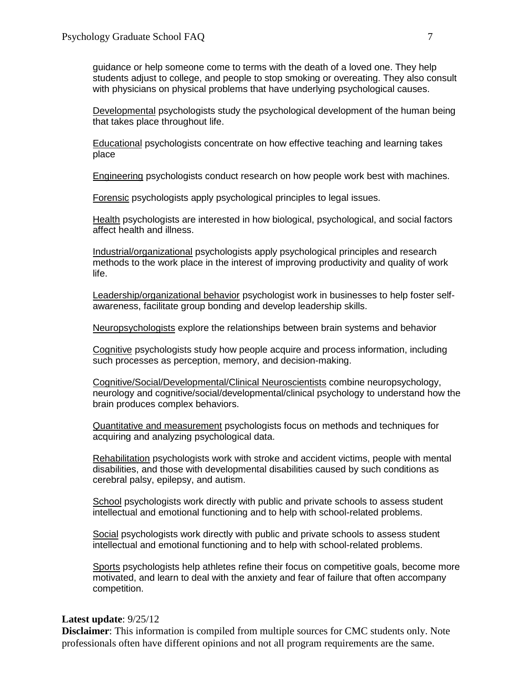guidance or help someone come to terms with the death of a loved one. They help students adjust to college, and people to stop smoking or overeating. They also consult with physicians on physical problems that have underlying psychological causes.

Developmental psychologists study the psychological development of the human being that takes place throughout life.

Educational psychologists concentrate on how effective teaching and learning takes place

Engineering psychologists conduct research on how people work best with machines.

Forensic psychologists apply psychological principles to legal issues.

Health psychologists are interested in how biological, psychological, and social factors affect health and illness.

Industrial/organizational psychologists apply psychological principles and research methods to the work place in the interest of improving productivity and quality of work life.

Leadership/organizational behavior psychologist work in businesses to help foster selfawareness, facilitate group bonding and develop leadership skills.

Neuropsychologists explore the relationships between brain systems and behavior

Cognitive psychologists study how people acquire and process information, including such processes as perception, memory, and decision-making.

Cognitive/Social/Developmental/Clinical Neuroscientists combine neuropsychology, neurology and cognitive/social/developmental/clinical psychology to understand how the brain produces complex behaviors.

Quantitative and measurement psychologists focus on methods and techniques for acquiring and analyzing psychological data.

Rehabilitation psychologists work with stroke and accident victims, people with mental disabilities, and those with developmental disabilities caused by such conditions as cerebral palsy, epilepsy, and autism.

School psychologists work directly with public and private schools to assess student intellectual and emotional functioning and to help with school-related problems.

Social psychologists work directly with public and private schools to assess student intellectual and emotional functioning and to help with school-related problems.

Sports psychologists help athletes refine their focus on competitive goals, become more motivated, and learn to deal with the anxiety and fear of failure that often accompany competition.

#### **Latest update**: 9/25/12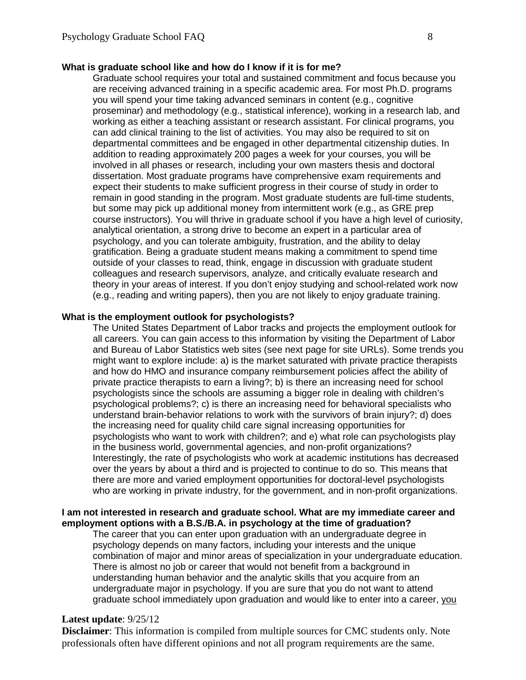#### **What is graduate school like and how do I know if it is for me?**

Graduate school requires your total and sustained commitment and focus because you are receiving advanced training in a specific academic area. For most Ph.D. programs you will spend your time taking advanced seminars in content (e.g., cognitive proseminar) and methodology (e.g., statistical inference), working in a research lab, and working as either a teaching assistant or research assistant. For clinical programs, you can add clinical training to the list of activities. You may also be required to sit on departmental committees and be engaged in other departmental citizenship duties. In addition to reading approximately 200 pages a week for your courses, you will be involved in all phases or research, including your own masters thesis and doctoral dissertation. Most graduate programs have comprehensive exam requirements and expect their students to make sufficient progress in their course of study in order to remain in good standing in the program. Most graduate students are full-time students, but some may pick up additional money from intermittent work (e.g., as GRE prep course instructors). You will thrive in graduate school if you have a high level of curiosity, analytical orientation, a strong drive to become an expert in a particular area of psychology, and you can tolerate ambiguity, frustration, and the ability to delay gratification. Being a graduate student means making a commitment to spend time outside of your classes to read, think, engage in discussion with graduate student colleagues and research supervisors, analyze, and critically evaluate research and theory in your areas of interest. If you don't enjoy studying and school-related work now (e.g., reading and writing papers), then you are not likely to enjoy graduate training.

#### **What is the employment outlook for psychologists?**

The United States Department of Labor tracks and projects the employment outlook for all careers. You can gain access to this information by visiting the Department of Labor and Bureau of Labor Statistics web sites (see next page for site URLs). Some trends you might want to explore include: a) is the market saturated with private practice therapists and how do HMO and insurance company reimbursement policies affect the ability of private practice therapists to earn a living?; b) is there an increasing need for school psychologists since the schools are assuming a bigger role in dealing with children's psychological problems?; c) is there an increasing need for behavioral specialists who understand brain-behavior relations to work with the survivors of brain injury?; d) does the increasing need for quality child care signal increasing opportunities for psychologists who want to work with children?; and e) what role can psychologists play in the business world, governmental agencies, and non-profit organizations? Interestingly, the rate of psychologists who work at academic institutions has decreased over the years by about a third and is projected to continue to do so. This means that there are more and varied employment opportunities for doctoral-level psychologists who are working in private industry, for the government, and in non-profit organizations.

#### **I am not interested in research and graduate school. What are my immediate career and employment options with a B.S./B.A. in psychology at the time of graduation?**

The career that you can enter upon graduation with an undergraduate degree in psychology depends on many factors, including your interests and the unique combination of major and minor areas of specialization in your undergraduate education. There is almost no job or career that would not benefit from a background in understanding human behavior and the analytic skills that you acquire from an undergraduate major in psychology. If you are sure that you do not want to attend graduate school immediately upon graduation and would like to enter into a career, you

#### **Latest update**: 9/25/12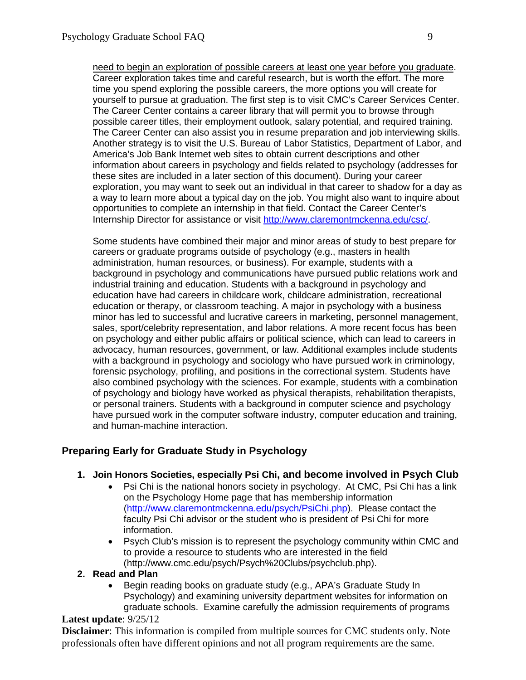need to begin an exploration of possible careers at least one year before you graduate. Career exploration takes time and careful research, but is worth the effort. The more time you spend exploring the possible careers, the more options you will create for yourself to pursue at graduation. The first step is to visit CMC's Career Services Center. The Career Center contains a career library that will permit you to browse through possible career titles, their employment outlook, salary potential, and required training. The Career Center can also assist you in resume preparation and job interviewing skills. Another strategy is to visit the U.S. Bureau of Labor Statistics, Department of Labor, and America's Job Bank Internet web sites to obtain current descriptions and other information about careers in psychology and fields related to psychology (addresses for these sites are included in a later section of this document). During your career exploration, you may want to seek out an individual in that career to shadow for a day as a way to learn more about a typical day on the job. You might also want to inquire about opportunities to complete an internship in that field. Contact the Career Center's Internship Director for assistance or visit [http://www.claremontmckenna.edu/csc/.](http://www.claremontmckenna.edu/csc/)

Some students have combined their major and minor areas of study to best prepare for careers or graduate programs outside of psychology (e.g., masters in health administration, human resources, or business). For example, students with a background in psychology and communications have pursued public relations work and industrial training and education. Students with a background in psychology and education have had careers in childcare work, childcare administration, recreational education or therapy, or classroom teaching. A major in psychology with a business minor has led to successful and lucrative careers in marketing, personnel management, sales, sport/celebrity representation, and labor relations. A more recent focus has been on psychology and either public affairs or political science, which can lead to careers in advocacy, human resources, government, or law. Additional examples include students with a background in psychology and sociology who have pursued work in criminology, forensic psychology, profiling, and positions in the correctional system. Students have also combined psychology with the sciences. For example, students with a combination of psychology and biology have worked as physical therapists, rehabilitation therapists, or personal trainers. Students with a background in computer science and psychology have pursued work in the computer software industry, computer education and training, and human-machine interaction.

# **Preparing Early for Graduate Study in Psychology**

# **1. Join Honors Societies, especially Psi Chi, and become involved in Psych Club**

- Psi Chi is the national honors society in psychology. At CMC, Psi Chi has a link on the Psychology Home page that has membership information [\(http://www.claremontmckenna.edu/psych/PsiChi.php\)](http://www.claremontmckenna.edu/psych/PsiChi.php). Please contact the faculty Psi Chi advisor or the student who is president of Psi Chi for more information.
- Psych Club's mission is to represent the psychology community within CMC and to provide a resource to students who are interested in the field (http://www.cmc.edu/psych/Psych%20Clubs/psychclub.php).

## **2. Read and Plan**

• Begin reading books on graduate study (e.g., APA's Graduate Study In Psychology) and examining university department websites for information on graduate schools. Examine carefully the admission requirements of programs

## **Latest update**: 9/25/12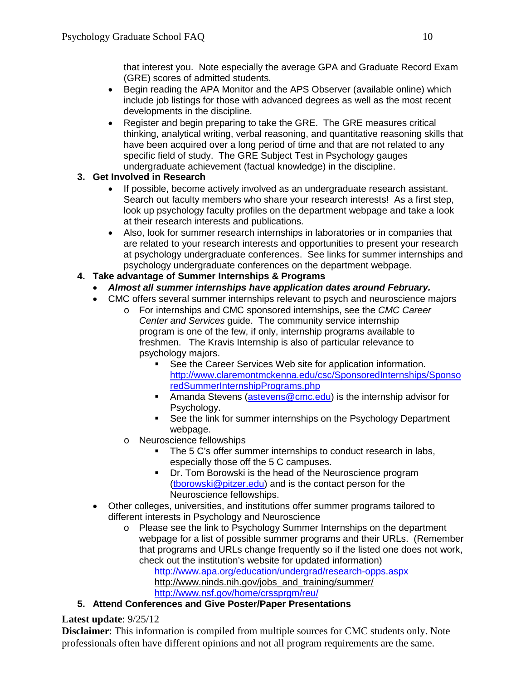that interest you. Note especially the average GPA and Graduate Record Exam (GRE) scores of admitted students.

- Begin reading the APA Monitor and the APS Observer (available online) which include job listings for those with advanced degrees as well as the most recent developments in the discipline.
- Register and begin preparing to take the GRE. The GRE measures critical thinking, analytical writing, verbal reasoning, and quantitative reasoning skills that have been acquired over a long period of time and that are not related to any specific field of study. The GRE Subject Test in Psychology gauges undergraduate achievement (factual knowledge) in the discipline.

# **3. Get Involved in Research**

- If possible, become actively involved as an undergraduate research assistant. Search out faculty members who share your research interests! As a first step, look up psychology faculty profiles on the department webpage and take a look at their research interests and publications.
- Also, look for summer research internships in laboratories or in companies that are related to your research interests and opportunities to present your research at psychology undergraduate conferences. See links for summer internships and psychology undergraduate conferences on the department webpage.
- **4. Take advantage of Summer Internships & Programs**
	- *Almost all summer internships have application dates around February.*
	- CMC offers several summer internships relevant to psych and neuroscience majors
		- o For internships and CMC sponsored internships, see the *CMC Career Center and Services* guide. The community service internship program is one of the few, if only, internship programs available to freshmen. The Kravis Internship is also of particular relevance to psychology majors.
			- See the Career Services Web site for application information. [http://www.claremontmckenna.edu/csc/SponsoredInternships/Sponso](http://www.claremontmckenna.edu/csc/SponsoredInternships/SponsoredSummerInternshipPrograms.php) [redSummerInternshipPrograms.php](http://www.claremontmckenna.edu/csc/SponsoredInternships/SponsoredSummerInternshipPrograms.php)
			- **Amanda Stevens [\(astevens@cmc.edu\)](mailto:astevens@cmc.edu) is the internship advisor for** Psychology.
			- **See the link for summer internships on the Psychology Department** webpage.
		- o Neuroscience fellowships
			- The 5 C's offer summer internships to conduct research in labs, especially those off the 5 C campuses.
			- **Dr.** Tom Borowski is the head of the Neuroscience program [\(tborowski@pitzer.edu\)](mailto:tborowski@pitzer.edu) and is the contact person for the Neuroscience fellowships.
	- Other colleges, universities, and institutions offer summer programs tailored to different interests in Psychology and Neuroscience
		- o Please see the link to Psychology Summer Internships on the department webpage for a list of possible summer programs and their URLs. (Remember that programs and URLs change frequently so if the listed one does not work, check out the institution's website for updated information) <http://www.apa.org/education/undergrad/research-opps.aspx> [http://www.ninds.nih.gov/jobs\\_and\\_training/summer/](http://www.ninds.nih.gov/jobs_and_training/summer/)
			- <http://www.nsf.gov/home/crssprgm/reu/>

# **5. Attend Conferences and Give Poster/Paper Presentations**

# **Latest update**: 9/25/12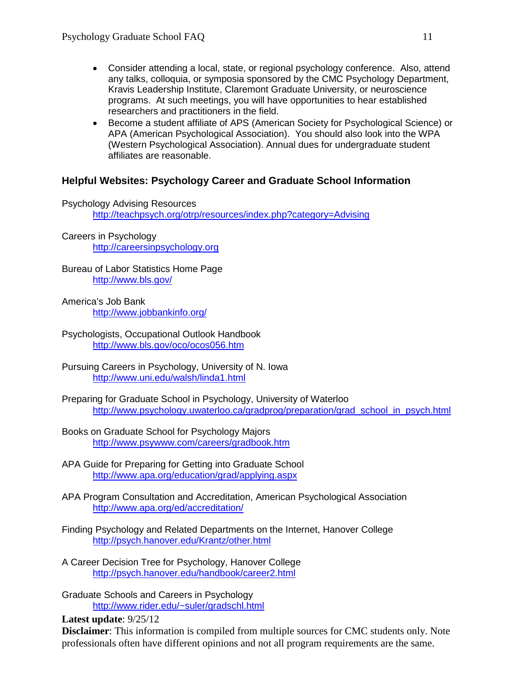- Consider attending a local, state, or regional psychology conference. Also, attend any talks, colloquia, or symposia sponsored by the CMC Psychology Department, Kravis Leadership Institute, Claremont Graduate University, or neuroscience programs. At such meetings, you will have opportunities to hear established researchers and practitioners in the field.
- Become a student affiliate of APS (American Society for Psychological Science) or APA (American Psychological Association). You should also look into the WPA (Western Psychological Association). Annual dues for undergraduate student affiliates are reasonable.

# **Helpful Websites: Psychology Career and Graduate School Information**

Psychology Advising Resources <http://teachpsych.org/otrp/resources/index.php?category=Advising>

Careers in Psychology [http://careersinpsychology.org](http://careersinpsychology.org/)

Bureau of Labor Statistics Home Page <http://www.bls.gov/>

- America's Job Bank <http://www.jobbankinfo.org/>
- Psychologists, Occupational Outlook Handbook <http://www.bls.gov/oco/ocos056.htm>
- Pursuing Careers in Psychology, University of N. Iowa <http://www.uni.edu/walsh/linda1.html>
- Preparing for Graduate School in Psychology, University of Waterloo [http://www.psychology.uwaterloo.ca/gradprog/preparation/grad\\_school\\_in\\_psych.html](http://www.psychology.uwaterloo.ca/gradprog/preparation/grad_school_in_psych.html)
- Books on Graduate School for Psychology Majors <http://www.psywww.com/careers/gradbook.htm>
- APA Guide for Preparing for Getting into Graduate School <http://www.apa.org/education/grad/applying.aspx>
- APA Program Consultation and Accreditation, American Psychological Association <http://www.apa.org/ed/accreditation/>
- Finding Psychology and Related Departments on the Internet, Hanover College <http://psych.hanover.edu/Krantz/other.html>
- A Career Decision Tree for Psychology, Hanover College <http://psych.hanover.edu/handbook/career2.html>
- Graduate Schools and Careers in Psychology <http://www.rider.edu/~suler/gradschl.html>

**Latest update**: 9/25/12